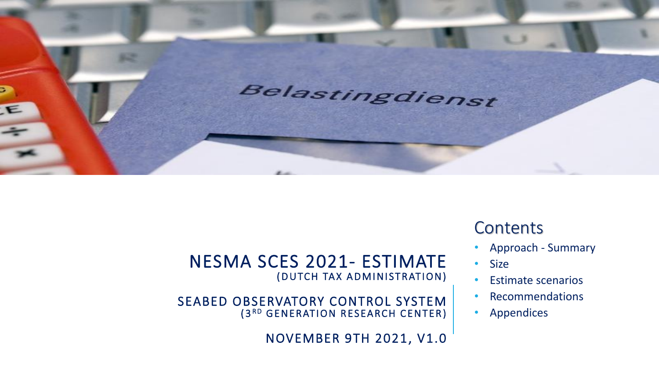

### **Contents**

- Approach Summary
- Size
- Estimate scenarios
- Recommendations
- **Appendices**

### NESMA SCES 2021- ESTIMATE ( DUTCH TAX ADMINISTRATION)

SEABED OBSERVATORY CONTROL SYSTEM (3RD GENERATION RESEARCH CENTER)

NOVEMBER 9TH 2021, V1.0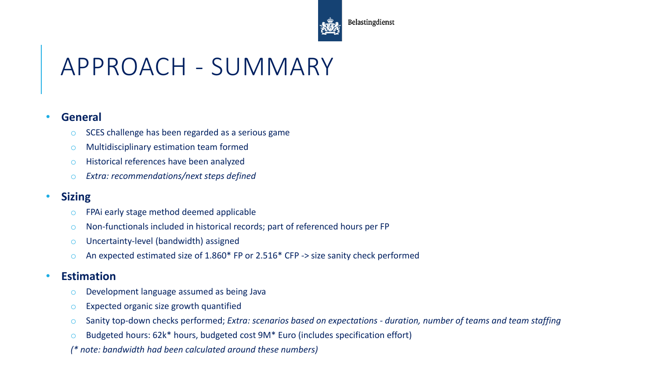

#### Belastingdienst

# APPROACH - SUMMARY

#### • **General**

- SCES challenge has been regarded as a serious game
- o Multidisciplinary estimation team formed
- o Historical references have been analyzed
- o *Extra: recommendations/next steps defined*

### • **Sizing**

- o FPAi early stage method deemed applicable
- o Non-functionals included in historical records; part of referenced hours per FP
- o Uncertainty-level (bandwidth) assigned
- o An expected estimated size of 1.860\* FP or 2.516\* CFP -> size sanity check performed

### • **Estimation**

- o Development language assumed as being Java
- o Expected organic size growth quantified
- o Sanity top-down checks performed; *Extra: scenarios based on expectations - duration, number of teams and team staffing*
- o Budgeted hours: 62k\* hours, budgeted cost 9M\* Euro (includes specification effort)
- *(\* note: bandwidth had been calculated around these numbers)*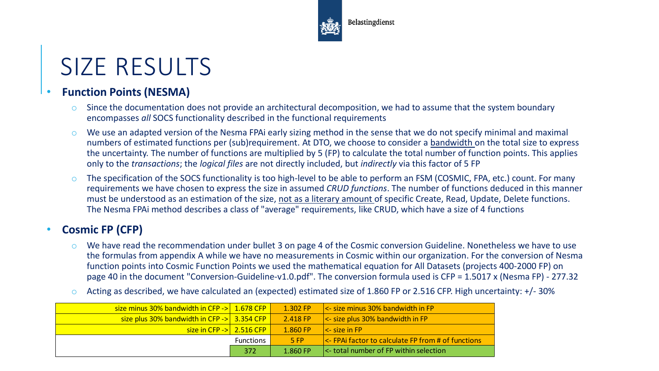

### SIZE RESULTS

### • **Function Points (NESMA)**

- $\circ$  Since the documentation does not provide an architectural decomposition, we had to assume that the system boundary encompasses *all* SOCS functionality described in the functional requirements
- We use an adapted version of the Nesma FPAi early sizing method in the sense that we do not specify minimal and maximal numbers of estimated functions per (sub)requirement. At DTO, we choose to consider a bandwidth on the total size to express the uncertainty. The number of functions are multiplied by 5 (FP) to calculate the total number of function points. This applies only to the *transactions*; the *logical files* are not directly included, but *indirectly* via this factor of 5 FP
- o The specification of the SOCS functionality is too high-level to be able to perform an FSM (COSMIC, FPA, etc.) count. For many requirements we have chosen to express the size in assumed *CRUD functions*. The number of functions deduced in this manner must be understood as an estimation of the size, not as a literary amount of specific Create, Read, Update, Delete functions. The Nesma FPAi method describes a class of "average" requirements, like CRUD, which have a size of 4 functions

#### • **Cosmic FP (CFP)**

- We have read the recommendation under bullet 3 on page 4 of the Cosmic conversion Guideline. Nonetheless we have to use the formulas from appendix A while we have no measurements in Cosmic within our organization. For the conversion of Nesma function points into Cosmic Function Points we used the mathematical equation for All Datasets (projects 400-2000 FP) on page 40 in the document "Conversion-Guideline-v1.0.pdf". The conversion formula used is CFP = 1.5017 x (Nesma FP) - 277.32
- Acting as described, we have calculated an (expected) estimated size of 1.860 FP or 2.516 CFP. High uncertainty:  $+/-30\%$

| size minus 30% bandwidth in CFP -> 1.678 CFP              |                  | $\triangle$ 1.302 FP | $\left  \right  <$ - size minus 30% bandwidth in FP     |
|-----------------------------------------------------------|------------------|----------------------|---------------------------------------------------------|
| size plus $30\%$ bandwidth in CFP $\rightarrow$ 3.354 CFP |                  | 2.418 FP             | $\vert$ <- size plus 30% bandwidth in FP                |
| $\frac{1}{2}$ size in CFP -> $\frac{1}{2}$ 2.516 CFP      |                  | $1.860 F$ P          | $\mathsf{l}$ $\lt$ - size in FP                         |
|                                                           | <b>Functions</b> | <b>5 FP</b>          | $\leq$ FPA factor to calculate FP from # of functions   |
|                                                           | 372              | $1.860 F$ P          | <b>Solution</b> I<- total number of FP within selection |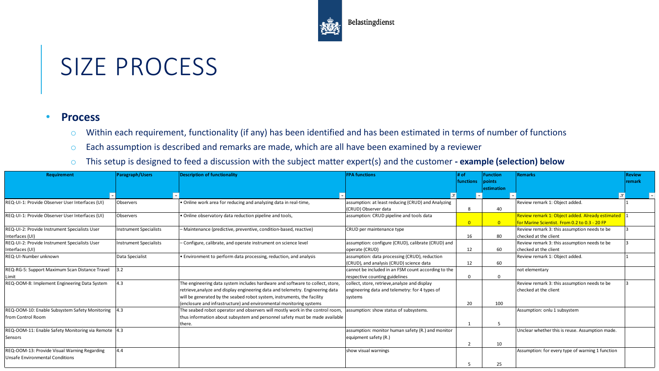

### SIZE PROCESS

#### • **Process**

- o Within each requirement, functionality (if any) has been identified and has been estimated in terms of number of functions
- o Each assumption is described and remarks are made, which are all have been examined by a reviewer
- o This setup is designed to feed a discussion with the subject matter expert(s) and the customer **- example (selection) below**

| <b>Requirement</b>                                  | <b>Paragraph/Users</b>        | <b>Description of functionality</b>                                            | <b>FPA</b> functions                                | # of             | <b>Function</b> | <b>Remarks</b>                                   | <b>Review</b> |
|-----------------------------------------------------|-------------------------------|--------------------------------------------------------------------------------|-----------------------------------------------------|------------------|-----------------|--------------------------------------------------|---------------|
|                                                     |                               |                                                                                |                                                     | <b>functions</b> | <b>Ipoints</b>  |                                                  | remark        |
|                                                     |                               |                                                                                |                                                     |                  | lestimation     |                                                  |               |
|                                                     |                               |                                                                                | $\overline{\mathbf{r}}$                             |                  |                 |                                                  |               |
| REQ-UI-1: Provide Observer User Interfaces (UI)     | Observers                     | . Online work area for reducing and analyzing data in real-time,               | assumption: at least reducing (CRUD) and Analyzing  |                  |                 | Review remark 1: Object added.                   |               |
|                                                     |                               |                                                                                | (CRUD) Observer data                                |                  | 40              |                                                  |               |
| REQ-UI-1: Provide Observer User Interfaces (UI)     | Observers                     | . Online observatory data reduction pipeline and tools,                        | assumption: CRUD pipeline and tools data            |                  |                 | Review remark 1: Object added. Already estimated |               |
|                                                     |                               |                                                                                |                                                     | $\Omega$         | $\Omega$        | for Marine Scientist. From 0.2 to 0.3 - 20 FP    |               |
| REQ-UI-2: Provide Instrument Specialists User       | <b>Instrument Specialists</b> | - Maintenance (predictive, preventive, condition-based, reactive)              | CRUD per maintenance type                           |                  |                 | Review remark 3: this assumption needs te be     |               |
| Interfaces (UI)                                     |                               |                                                                                |                                                     | 16               | 80              | checked at the client                            |               |
| REQ-UI-2: Provide Instrument Specialists User       | <b>Instrument Specialists</b> | - Configure, calibrate, and operate instrument on science level                | assumption: configure (CRUD), calibrate (CRUD) and  |                  |                 | Review remark 3: this assumption needs te be     |               |
| Interfaces (UI)                                     |                               |                                                                                | operate (CRUD)                                      | 12               | 60              | checked at the client                            |               |
| REQ-UI-Number unknown                               | Data Specialist               | • Environment to perform data processing, reduction, and analysis              | assumption: data processing (CRUD), reduction       |                  |                 | Review remark 1: Object added.                   |               |
|                                                     |                               |                                                                                | (CRUD), and analysis (CRUD) science data            | 12               | 60              |                                                  |               |
| REQ-RG-5: Support Maximum Scan Distance Travel      | 3.2                           |                                                                                | cannot be included in an FSM count according to the |                  |                 | not elementary                                   |               |
| Limit                                               |                               |                                                                                | respective counting guidelines                      |                  |                 |                                                  |               |
| REQ-OOM-8: Implement Engineering Data System        | 4.3                           | The engineering data system includes hardware and software to collect, store,  | collect, store, retrieve, analyze and display       |                  |                 | Review remark 3: this assumption needs te be     |               |
|                                                     |                               | retrieve, analyze and display engineering data and telemetry. Engineering data | engineering data and telemetry: for 4 types of      |                  |                 | checked at the client                            |               |
|                                                     |                               | will be generated by the seabed robot system, instruments, the facility        | systems                                             |                  |                 |                                                  |               |
|                                                     |                               | (enclosure and infrastructure) and environmental monitoring systems            |                                                     | 20               | 100             |                                                  |               |
| REQ-OOM-10: Enable Subsystem Safety Monitoring      | 4.3                           | The seabed robot operator and observers will mostly work in the control room,  | assumption: show status of subsystems.              |                  |                 | Assumption: onlu 1 subsystem                     |               |
| from Control Room                                   |                               | thus information about subsystem and personnel safety must be made available   |                                                     |                  |                 |                                                  |               |
|                                                     |                               | there.                                                                         |                                                     |                  |                 |                                                  |               |
| REQ-OOM-11: Enable Safety Monitoring via Remote 4.3 |                               |                                                                                | assumption: monitor human safety (R.) and monitor   |                  |                 | Unclear whether this is reuse. Assumption made.  |               |
| Sensors                                             |                               |                                                                                | equipment safety (R.)                               |                  |                 |                                                  |               |
|                                                     |                               |                                                                                |                                                     |                  | 10              |                                                  |               |
| REQ-OOM-13: Provide Visual Warning Regarding        | 4.4                           |                                                                                | show visual warnings                                |                  |                 | Assumption: for every type of warning 1 function |               |
| Unsafe Environmental Conditions                     |                               |                                                                                |                                                     |                  |                 |                                                  |               |
|                                                     |                               |                                                                                |                                                     |                  | 25              |                                                  |               |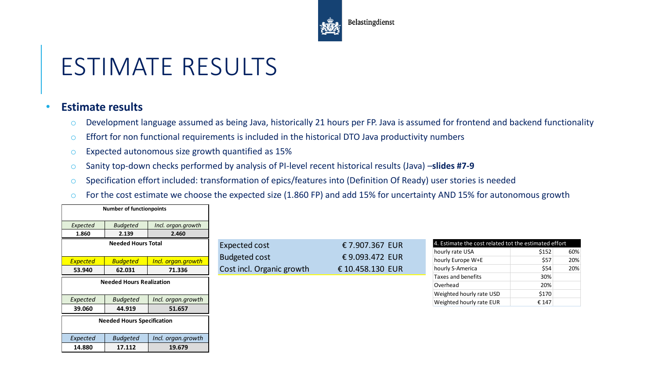

# ESTIMATE RESULTS

### • **Estimate results**

- o Development language assumed as being Java, historically 21 hours per FP. Java is assumed for frontend and backend functionality
- o Effort for non functional requirements is included in the historical DTO Java productivity numbers
- o Expected autonomous size growth quantified as 15%
- o Sanity top-down checks performed by analysis of PI-level recent historical results (Java) –**slides #7-9**
- o Specification effort included: transformation of epics/features into (Definition Of Ready) user stories is needed
- o For the cost estimate we choose the expected size (1.860 FP) and add 15% for uncertainty AND 15% for autonomous growth

|                    | <b>Number of functionpoints</b>   |                              |                           |                  |                                                       |               |            |
|--------------------|-----------------------------------|------------------------------|---------------------------|------------------|-------------------------------------------------------|---------------|------------|
| Expected           | <b>Budgeted</b>                   | Incl. organ.growth           |                           |                  |                                                       |               |            |
| 1.860              | 2.139                             | 2.460                        |                           |                  |                                                       |               |            |
|                    | <b>Needed Hours Total</b>         |                              | <b>Expected cost</b>      | € 7.907.367 EUR  | 4. Estimate the cost related tot the estimated effort |               |            |
|                    |                                   |                              | <b>Budgeted cost</b>      | €9.093.472 EUR   | hourly rate USA<br>hourly Europe W+E                  | \$152<br>\$57 | 60%<br>20% |
| Expected<br>53.940 | <b>Budgeted</b><br>62.031         | Incl. organ.growth<br>71.336 | Cost incl. Organic growth | € 10.458.130 EUR | hourly S-America                                      | \$54          | 20%        |
|                    |                                   |                              |                           |                  | Taxes and benefits                                    | 30%           |            |
|                    | <b>Needed Hours Realization</b>   |                              |                           |                  | Overhead                                              | 20%           |            |
|                    |                                   |                              |                           |                  | Weighted hourly rate USD                              | \$170         |            |
| Expected           | <b>Budgeted</b>                   | Incl. organ.growth           |                           |                  | Weighted hourly rate EUR                              | € 147         |            |
| 39.060             | 44.919                            | 51.657                       |                           |                  |                                                       |               |            |
|                    | <b>Needed Hours Specification</b> |                              |                           |                  |                                                       |               |            |
|                    |                                   |                              |                           |                  |                                                       |               |            |
| Expected           | <b>Budgeted</b>                   | Incl. organ.growth           |                           |                  |                                                       |               |            |
| 14.880             | 17.112                            | 19.679                       |                           |                  |                                                       |               |            |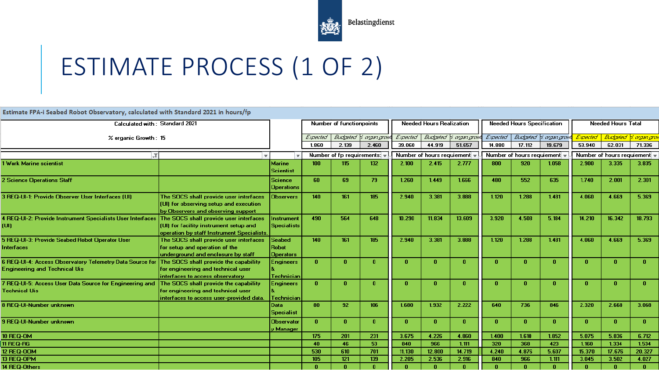

# ESTIMATE PROCESS (1 OF 2)

**Estimate FPA-i Seabed Robot Observatory, calculated with Standard 2021 in hours/fp** 

| Calculated with: Standard 2021                                                                   |                                                                                                                               |                                                   | Number of functionpoints                            |             | <b>Needed Hours Realization</b> |                            |          | <b>Needed Hours Specification</b> |              |             | <b>Needed Hours Total</b>  |          |                                |              |
|--------------------------------------------------------------------------------------------------|-------------------------------------------------------------------------------------------------------------------------------|---------------------------------------------------|-----------------------------------------------------|-------------|---------------------------------|----------------------------|----------|-----------------------------------|--------------|-------------|----------------------------|----------|--------------------------------|--------------|
| % organic Growth: 15                                                                             |                                                                                                                               |                                                   | Expected                                            |             | Budgeted V. agangnow            | Expected                   |          | Budgeted V. agangny               | Expected     |             | Budgeted V. agangraw       | Expected | <u>  Budgeled V. angenigna</u> |              |
|                                                                                                  |                                                                                                                               |                                                   | 1.860                                               | 2.139       | 2.460                           | 39.060                     | 44.919   | 51.657                            | 14.880       | 17.112      | 19.679                     | 53.940   | 62.031                         | 71.336       |
| LT                                                                                               |                                                                                                                               |                                                   | Number of fp requirements: $\overline{\phantom{a}}$ |             |                                 | Number of hours requiement |          | Number of hours requiement        |              |             | Number of hours requiement |          |                                |              |
| 1 Work Marine scientist                                                                          |                                                                                                                               | <b>Marine</b><br><b>Scientist</b>                 | 100 <sub>1</sub>                                    | 115         | 132                             | 2.100                      | 2.415    | 2.777                             | 800          | 920         | 1.058                      | 2.900    | 3.335                          | 3.835        |
| <b>2 Science Operations Staff</b>                                                                |                                                                                                                               | <b>Science</b><br>Operations                      | 60                                                  | 69          | 79                              | 1.260                      | 1.449    | 1.666                             | 480          | 552         | 635                        | 1.740    | 2.001                          | 2.301        |
| 3 REQ-UI-1: Provide Observer User Interfaces (UI)                                                | The SOCS shall provide user interfaces<br>(UI) for observing setup and execution<br>by Observers and observing support        | <b>Observers</b>                                  | 140                                                 | 161         | 185                             | 2.940                      | 3.381    | 3.888                             | 1.120        | 1.288       | 1.481                      | 4.060    | 4.669                          | 5.369        |
| 4 REQ-UI-2: Provide Instrument Specialists User Interfaces<br>(UI).                              | The SOCS shall provide user interfaces<br>(UI) for facility instrument setup and<br>operation by staff Instrument Specialists | Instrument<br><b>Specialists</b>                  | 490                                                 | 564         | 648                             | 10.290                     | 11.834   | 13.609                            | 3.920        | 4.508       | 5.184                      | 14.210   | 16.342                         | 18.793       |
| 5 REQ-UI-3: Provide Seabed Robot Operator User<br><b>Interfaces</b>                              | The SOCS shall provide user interfaces<br>for setup and operation of the<br>underground and enclosure by staff                | <b>Seabed</b><br><b>Robot</b><br><b>Operators</b> | 140                                                 | 161         | 185                             | 2.940                      | 3.381    | 3.888                             | 1.120        | 1.288       | 1.481                      | 4.060    | 4.669                          | 5.369        |
| 6 REQ-UI-4: Access Observatory Telemetry Data Source for<br><b>Engineering and Technical Uis</b> | The SOCS shall provide the capability<br>for engineering and technical user<br>interfaces to access observatory               | Engineers<br>Technician                           | $\mathbf{n}$                                        | $\mathbf n$ | $\bf{0}$                        | $\bf{0}$                   | $\bf{0}$ | - 0                               | $\mathbf{0}$ | $\mathbf n$ | n                          | - 0      | n                              | 0.           |
| 7 REQ-UI-5: Access User Data Source for Engineering and<br><b>Technical Uis</b>                  | The SOCS shall provide the capability<br>for engineering and technical user<br>interfaces to access user-provided data.       | Engineers<br>Technician                           | n.                                                  | 0           | $\bf{0}$                        | $\bf{0}$                   | $\bf{0}$ | n                                 | $\bf{0}$     | n           | n                          | -0       | 0                              | $\bf{0}$     |
| 8 REQ-UI-Number unknown                                                                          |                                                                                                                               | Data<br><b>Specialist</b>                         | 80                                                  | 92          | 106                             | 1.680                      | 1.932    | 2.222                             | 640          | 736         | 846                        | 2.320    | 2.668                          | 3.068        |
| <b>9 REQ-UI-Number unknown</b>                                                                   |                                                                                                                               | <b>Observator</b><br>v Manager                    | $\mathbf{n}$                                        | $\bf{0}$    | $\bf{0}$                        | $\bf{0}$                   | $\bf{0}$ | - 0                               | $\bf{0}$     | - 0         | n                          | - 0      | Ω.                             | $\mathbf{u}$ |
| <b>10 REQ-OM</b>                                                                                 |                                                                                                                               |                                                   | 175                                                 | 201         | 231                             | 3.675                      | 4.226    | 4.860                             | 1.400        | 1.610       | 1.852                      | 5.075    | 5.836                          | 6.712        |
| <b>11 REQ-RG</b>                                                                                 |                                                                                                                               |                                                   | -40                                                 | 46          | 53                              | 840                        | 966      | 1.111                             | 320          | 368         | 423                        | 1.160    | 1.334                          | 1.534        |
| <b>12 REQ-OOM</b>                                                                                |                                                                                                                               |                                                   | 530                                                 | 610         | 701                             | 11.130                     | 12.800   | 14.719                            | 4.240        | 4.876       | 5.607                      | 15.370   | 17.676                         | 20.327       |
| 13 REQ-OPM                                                                                       |                                                                                                                               |                                                   | 105                                                 | 121         | 139                             | 2.205                      | 2.536    | 2.916                             | 840          | 966         | 1.111                      | 3.045    | 3.502                          | 4.027        |
| 14 REQ-Others                                                                                    |                                                                                                                               |                                                   |                                                     |             | n                               | $\mathbf{u}$               |          |                                   |              |             |                            |          | Ω.                             | $\mathbf{u}$ |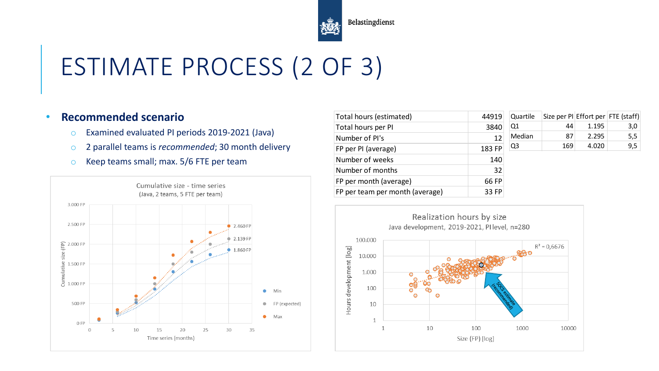

# ESTIMATE PROCESS (2 OF 3)

#### • **Recommended scenario**

- o Examined evaluated PI periods 2019-2021 (Java)
- o 2 parallel teams is *recommended*; 30 month delivery
- o Keep teams small; max. 5/6 FTE per team



| Total hours (estimated)         | 44919  | Quartile |     |       | Size per PI Effort per FTE (staff) |
|---------------------------------|--------|----------|-----|-------|------------------------------------|
| Total hours per PI              | 3840   | Q1       | 44  | 1.195 | 3,0                                |
| Number of PI's                  | 12     | Median   | 87  | 2.295 | 5,5                                |
| FP per PI (average)             | 183 FP | Q3       | 169 | 4.020 | 9,5                                |
| Number of weeks                 | 140    |          |     |       |                                    |
| Number of months                | 32     |          |     |       |                                    |
| FP per month (average)          | 66 FP  |          |     |       |                                    |
| FP per team per month (average) | 33 FP  |          |     |       |                                    |

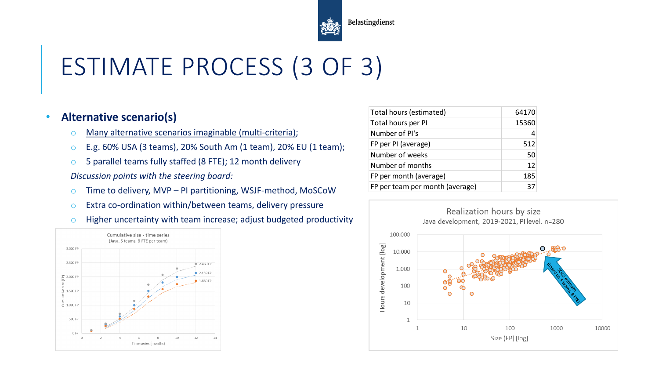

# ESTIMATE PROCESS (3 OF 3)

#### • **Alternative scenario(s)**

- o Many alternative scenarios imaginable (multi-criteria);
- o E.g. 60% USA (3 teams), 20% South Am (1 team), 20% EU (1 team);
- o 5 parallel teams fully staffed (8 FTE); 12 month delivery

*Discussion points with the steering board:*

- o Time to delivery, MVP PI partitioning, WSJF-method, MoSCoW
- o Extra co-ordination within/between teams, delivery pressure
- $\circ$  Higher uncertainty with team increase; adjust budgeted productivity



| Total hours (estimated)         | 64170 |
|---------------------------------|-------|
| Total hours per PI              | 15360 |
| Number of PI's                  |       |
| FP per PI (average)             | 512   |
| Number of weeks                 | 50    |
| Number of months                | 12    |
| FP per month (average)          | 185   |
| FP per team per month (average) | 37    |

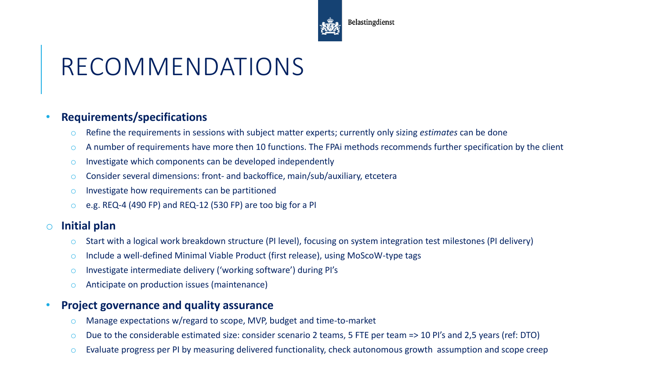

# RECOMMENDATIONS

#### • **Requirements/specifications**

- o Refine the requirements in sessions with subject matter experts; currently only sizing *estimates* can be done
- $\circ$  A number of requirements have more then 10 functions. The FPAi methods recommends further specification by the client
- $\circ$  Investigate which components can be developed independently
- o Consider several dimensions: front- and backoffice, main/sub/auxiliary, etcetera
- o Investigate how requirements can be partitioned
- o e.g. REQ-4 (490 FP) and REQ-12 (530 FP) are too big for a PI

### o **Initial plan**

- o Start with a logical work breakdown structure (PI level), focusing on system integration test milestones (PI delivery)
- o Include a well-defined Minimal Viable Product (first release), using MoScoW-type tags
- o Investigate intermediate delivery ('working software') during PI's
- o Anticipate on production issues (maintenance)

### • **Project governance and quality assurance**

- o Manage expectations w/regard to scope, MVP, budget and time-to-market
- o Due to the considerable estimated size: consider scenario 2 teams, 5 FTE per team => 10 PI's and 2,5 years (ref: DTO)
- o Evaluate progress per PI by measuring delivered functionality, check autonomous growth assumption and scope creep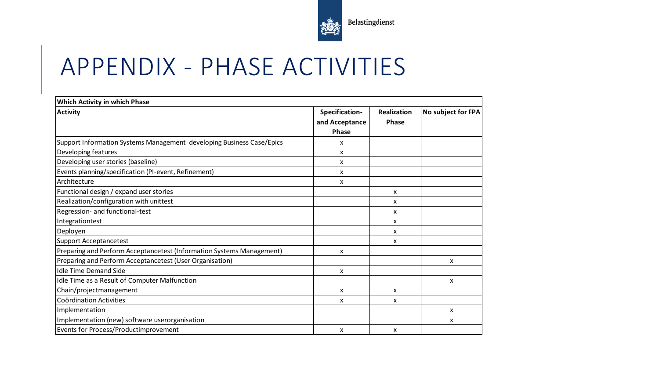

### APPENDIX - PHASE ACTIVITIES

| Which Activity in which Phase                                         |                                                  |                             |                    |
|-----------------------------------------------------------------------|--------------------------------------------------|-----------------------------|--------------------|
| <b>Activity</b>                                                       | Specification-<br>and Acceptance<br><b>Phase</b> | <b>Realization</b><br>Phase | No subject for FPA |
| Support Information Systems Management developing Business Case/Epics | x                                                |                             |                    |
| Developing features                                                   | x                                                |                             |                    |
| Developing user stories (baseline)                                    | x                                                |                             |                    |
| Events planning/specification (PI-event, Refinement)                  | x                                                |                             |                    |
| Architecture                                                          | x                                                |                             |                    |
| Functional design / expand user stories                               |                                                  | x                           |                    |
| Realization/configuration with unittest                               |                                                  | x                           |                    |
| Regression- and functional-test                                       |                                                  | x                           |                    |
| Integrationtest                                                       |                                                  | x                           |                    |
| Deployen                                                              |                                                  | x                           |                    |
| <b>Support Acceptancetest</b>                                         |                                                  | x                           |                    |
| Preparing and Perform Acceptancetest (Information Systems Management) | X                                                |                             |                    |
| Preparing and Perform Acceptancetest (User Organisation)              |                                                  |                             | x                  |
| <b>Idle Time Demand Side</b>                                          | X                                                |                             |                    |
| Idle Time as a Result of Computer Malfunction                         |                                                  |                             | x                  |
| Chain/projectmanagement                                               | x                                                | x                           |                    |
| Coördination Activities                                               | x                                                | x                           |                    |
| Implementation                                                        |                                                  |                             | x                  |
| Implementation (new) software userorganisation                        |                                                  |                             | x                  |
| Events for Process/Productimprovement                                 | x                                                | x                           |                    |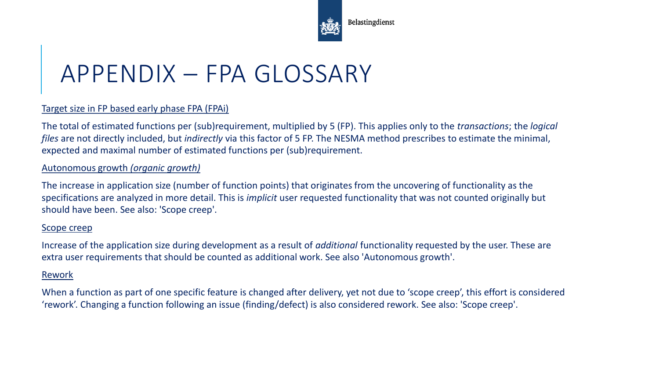

# APPENDIX – FPA GLOSSARY

#### Target size in FP based early phase FPA (FPAi)

The total of estimated functions per (sub)requirement, multiplied by 5 (FP). This applies only to the *transactions*; the *logical files* are not directly included, but *indirectly* via this factor of 5 FP. The NESMA method prescribes to estimate the minimal, expected and maximal number of estimated functions per (sub)requirement.

#### Autonomous growth *(organic growth)*

The increase in application size (number of function points) that originates from the uncovering of functionality as the specifications are analyzed in more detail. This is *implicit* user requested functionality that was not counted originally but should have been. See also: 'Scope creep'.

#### Scope creep

Increase of the application size during development as a result of *additional* functionality requested by the user. These are extra user requirements that should be counted as additional work. See also 'Autonomous growth'.

#### Rework

When a function as part of one specific feature is changed after delivery, yet not due to 'scope creep', this effort is considered 'rework'. Changing a function following an issue (finding/defect) is also considered rework. See also: 'Scope creep'.